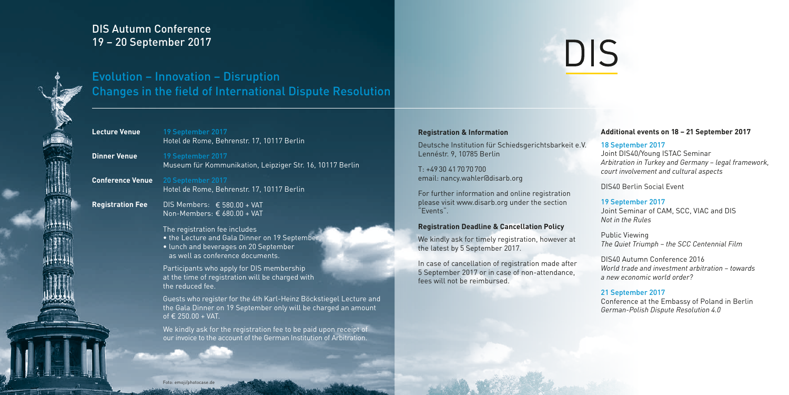# DIS Autumn Conference 19 – 20 September 2017



Evolution – Innovation – Disruption Changes in the field of International Dispute Resolution

# **Lecture Venue** 19 September 2017

Hotel de Rome, Behrenstr. 17, 10117 Berlin

**Dinner Venue** 19 September 2017 Museum für Kommunikation, Leipziger Str. 16, 10117 Berlin

**Conference Venue** 20 September 2017 Hotel de Rome, Behrenstr. 17, 10117 Berlin

**Registration Fee** DIS Members: € 580.00 + VAT Non-Members: € 680.00 + VAT

> The registration fee includes • the Lecture and Gala Dinner on 19 September, • lunch and beverages on 20 September as well as conference documents.

Participants who apply for DIS membership at the time of registration will be charged with the reduced fee.

Guests who register for the 4th Karl-Heinz Böckstiegel Lecture and the Gala Dinner on 19 September only will be charged an amount of € 250.00 + VAT.

We kindly ask for the registration fee to be paid upon receipt of our invoice to the account of the German Institution of Arbitration.

### **Registration & Information**

Deutsche Institution für Schiedsgerichtsbarkeit e.V. Lennéstr. 9, 10785 Berlin

T: +4930 417070700 email: nancy.wahler@disarb.org

For further information and online registration please visit www.disarb.org under the section "Events".

### **Registration Deadline & Cancellation Policy**

We kindly ask for timely registration, however at the latest by 5 September 2017.

In case of cancellation of registration made after 5 September 2017 or in case of non-attendance, fees will not be reimbursed.

### **Additional events on 18 – 21 September 2017**

### 18 September 2017

**DIS** 

Joint DIS40/Young ISTAC Seminar *Arbitration in Turkey and Germany – legal framework, court involvement and cultural aspects* 

DIS40 Berlin Social Event

### 19 September 2017

Joint Seminar of CAM, SCC, VIAC and DIS *Not in the Rules*

Public Viewing *The Quiet Triumph – the SCC Centennial Film*

DIS40 Autumn Conference 2016 *World trade and investment arbitration – towards a new economic world order?*

#### 21 September 2017

Conference at the Embassy of Poland in Berlin *German-Polish Dispute Resolution 4.0*